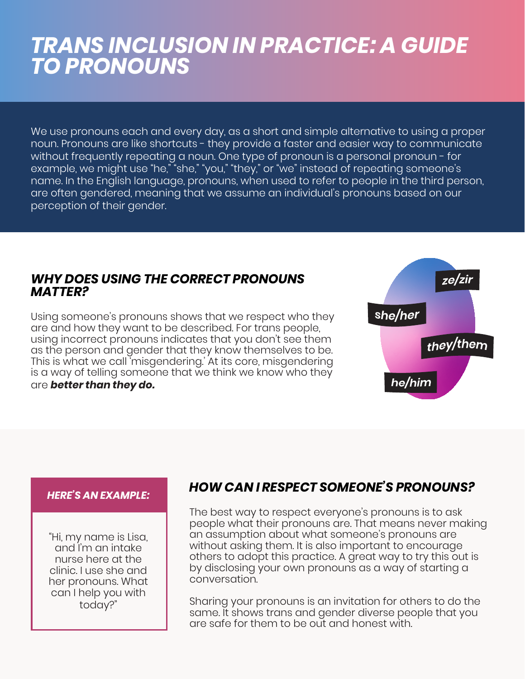# *TRANS INCLUSION IN PRACTICE: A GUIDE TO PRONOUNS*

We use pronouns each and every day, as a short and simple alternative to using a proper noun. Pronouns are like shortcuts - they provide a faster and easier way to communicate without frequently repeating a noun. One type of pronoun is a personal pronoun - for example, we might use "he," "she," "you," "they," or "we" instead of repeating someone's name. In the English language, pronouns, when used to refer to people in the third person, are often gendered, meaning that we assume an individual's pronouns based on our perception of their gender.

#### *WHY DOES USING THE CORRECT PRONOUNS MATTER?*

Using someone's pronouns shows that we respect who they are and how they want to be described. For trans people, using incorrect pronouns indicates that you don't see them as the person and gender that they know themselves to be. This is what we call 'misgendering.' At its core, misgendering is a way of telling someone that we think we know who they are *better than they do.* 



#### *HERE'S AN EXAMPLE:*

"Hi, my name is Lisa, and I'm an intake nurse here at the clinic. I use she and her pronouns. What can I help you with today?"

## *HOW CAN I RESPECT SOMEONE'S PRONOUNS?*

The best way to respect everyone's pronouns is to ask people what their pronouns are. That means never making an assumption about what someone's pronouns are without asking them. It is also important to encourage others to adopt this practice. A great way to try this out is by disclosing your own pronouns as a way of starting a conversation.

Sharing your pronouns is an invitation for others to do the same. It shows trans and gender diverse people that you are safe for them to be out and honest with.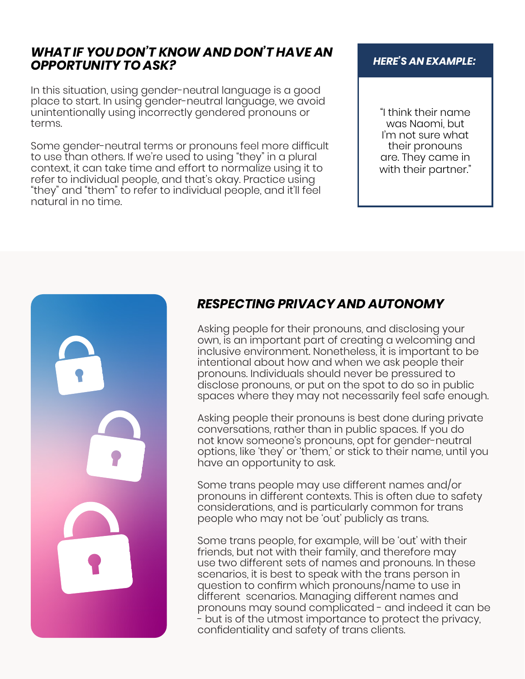#### *WHAT IF YOU DON'T KNOW AND DON'T HAVE AN OPPORTUNITY TO ASK?*

In this situation, using gender-neutral language is a good place to start. In using gender-neutral language, we avoid unintentionally using incorrectly gendered pronouns or terms.

Some gender-neutral terms or pronouns feel more difficult to use than others. If we're used to using "they" in a plural context, it can take time and effort to normalize using it to refer to individual people, and that's okay. Practice using "they" and "them" to refer to individual people, and it'll feel natural in no time.

#### *HERE'S AN EXAMPLE:*

"I think their name was Naomi, but I'm not sure what their pronouns are. They came in with their partner."



## *RESPECTING PRIVACY AND AUTONOMY*

Asking people for their pronouns, and disclosing your own, is an important part of creating a welcoming and inclusive environment. Nonetheless, it is important to be intentional about how and when we ask people their pronouns. Individuals should never be pressured to disclose pronouns, or put on the spot to do so in public spaces where they may not necessarily feel safe enough.

Asking people their pronouns is best done during private conversations, rather than in public spaces. If you do not know someone's pronouns, opt for gender-neutral options, like 'they' or 'them,' or stick to their name, until you have an opportunity to ask.

Some trans people may use different names and/or pronouns in different contexts. This is often due to safety considerations, and is particularly common for trans people who may not be 'out' publicly as trans.

Some trans people, for example, will be 'out' with their friends, but not with their family, and therefore may use two different sets of names and pronouns. In these scenarios, it is best to speak with the trans person in question to confirm which pronouns/name to use in different scenarios. Managing different names and pronouns may sound complicated - and indeed it can be - but is of the utmost importance to protect the privacy, confidentiality and safety of trans clients.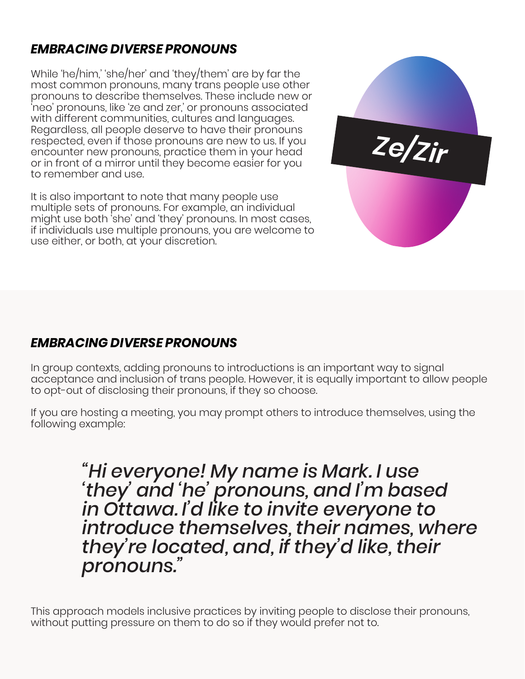# *EMBRACING DIVERSE PRONOUNS*

While 'he/him,' 'she/her' and 'they/them' are by far the most common pronouns, many trans people use other pronouns to describe themselves. These include new or 'neo' pronouns, like 'ze and zer,' or pronouns associated with different communities, cultures and languages. Regardless, all people deserve to have their pronouns respected, even if those pronouns are new to us. If you encounter new pronouns, practice them in your head or in front of a mirror until they become easier for you to remember and use.

It is also important to note that many people use multiple sets of pronouns. For example, an individual might use both 'she' and 'they' pronouns. In most cases, if individuals use multiple pronouns, you are welcome to use either, or both, at your discretion.



# *EMBRACING DIVERSE PRONOUNS*

In group contexts, adding pronouns to introductions is an important way to signal acceptance and inclusion of trans people. However, it is equally important to allow people to opt-out of disclosing their pronouns, if they so choose.

If you are hosting a meeting, you may prompt others to introduce themselves, using the following example:

> *"Hi everyone! My name is Mark. I use 'they' and 'he' pronouns, and I'm based in Ottawa. I'd like to invite everyone to introduce themselves, their names, where they're located, and, if they'd like, their pronouns."*

This approach models inclusive practices by inviting people to disclose their pronouns, without putting pressure on them to do so if they would prefer not to.